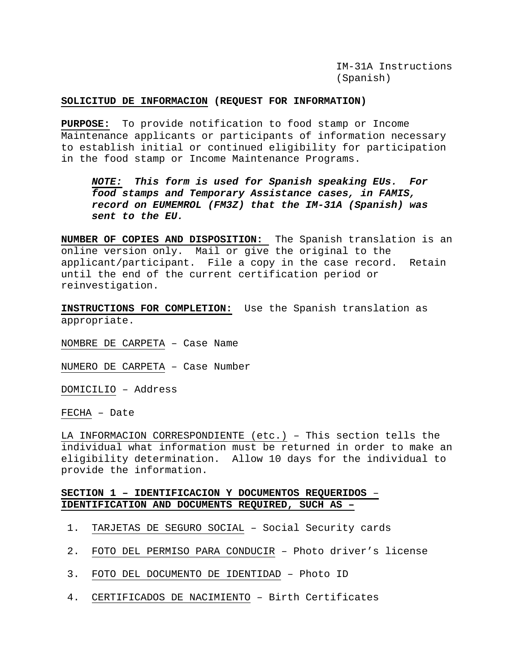IM-31A Instructions (Spanish)

#### **SOLICITUD DE INFORMACION (REQUEST FOR INFORMATION)**

**PURPOSE:** To provide notification to food stamp or Income Maintenance applicants or participants of information necessary to establish initial or continued eligibility for participation in the food stamp or Income Maintenance Programs.

*NOTE: This form is used for Spanish speaking EUs. For food stamps and Temporary Assistance cases, in FAMIS, record on EUMEMROL (FM3Z) that the IM-31A (Spanish) was sent to the EU.* 

**NUMBER OF COPIES AND DISPOSITION:** The Spanish translation is an online version only. Mail or give the original to the applicant/participant. File a copy in the case record. Retain until the end of the current certification period or reinvestigation.

**INSTRUCTIONS FOR COMPLETION:** Use the Spanish translation as appropriate.

NOMBRE DE CARPETA – Case Name

NUMERO DE CARPETA – Case Number

DOMICILIO – Address

FECHA – Date

LA INFORMACION CORRESPONDIENTE (etc.) – This section tells the individual what information must be returned in order to make an eligibility determination. Allow 10 days for the individual to provide the information.

### **SECTION 1 – IDENTIFICACION Y DOCUMENTOS REQUERIDOS** – **IDENTIFICATION AND DOCUMENTS REQUIRED, SUCH AS –**

- 1. TARJETAS DE SEGURO SOCIAL Social Security cards
- 2. FOTO DEL PERMISO PARA CONDUCIR Photo driver's license
- 3. FOTO DEL DOCUMENTO DE IDENTIDAD Photo ID
- 4. CERTIFICADOS DE NACIMIENTO Birth Certificates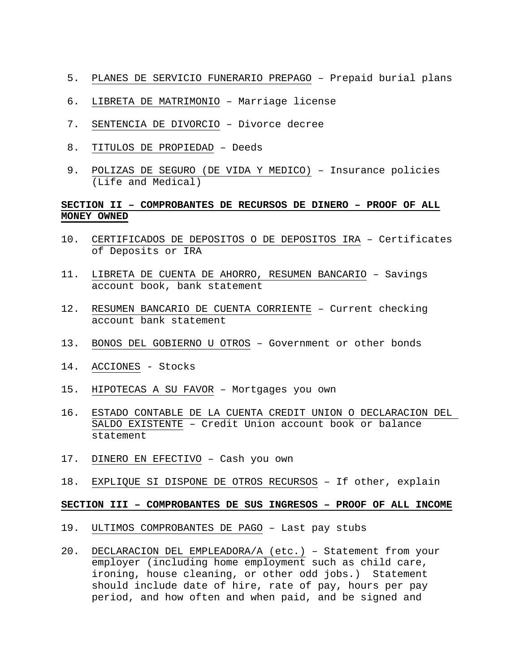- 5. PLANES DE SERVICIO FUNERARIO PREPAGO Prepaid burial plans
- 6. LIBRETA DE MATRIMONIO Marriage license
- 7. SENTENCIA DE DIVORCIO Divorce decree
- 8. TITULOS DE PROPIEDAD Deeds
- 9. POLIZAS DE SEGURO (DE VIDA Y MEDICO) Insurance policies (Life and Medical)

# **SECTION II – COMPROBANTES DE RECURSOS DE DINERO – PROOF OF ALL MONEY OWNED**

- 10. CERTIFICADOS DE DEPOSITOS O DE DEPOSITOS IRA Certificates of Deposits or IRA
- 11. LIBRETA DE CUENTA DE AHORRO, RESUMEN BANCARIO Savings account book, bank statement
- 12. RESUMEN BANCARIO DE CUENTA CORRIENTE Current checking account bank statement
- 13. BONOS DEL GOBIERNO U OTROS Government or other bonds
- 14. ACCIONES Stocks
- 15. HIPOTECAS A SU FAVOR Mortgages you own
- 16. ESTADO CONTABLE DE LA CUENTA CREDIT UNION O DECLARACION DEL SALDO EXISTENTE – Credit Union account book or balance statement
- 17. DINERO EN EFECTIVO Cash you own
- 18. EXPLIQUE SI DISPONE DE OTROS RECURSOS If other, explain

### **SECTION III – COMPROBANTES DE SUS INGRESOS – PROOF OF ALL INCOME**

- 19. ULTIMOS COMPROBANTES DE PAGO Last pay stubs
- 20. DECLARACION DEL EMPLEADORA/A (etc.) Statement from your employer (including home employment such as child care, ironing, house cleaning, or other odd jobs.) Statement should include date of hire, rate of pay, hours per pay period, and how often and when paid, and be signed and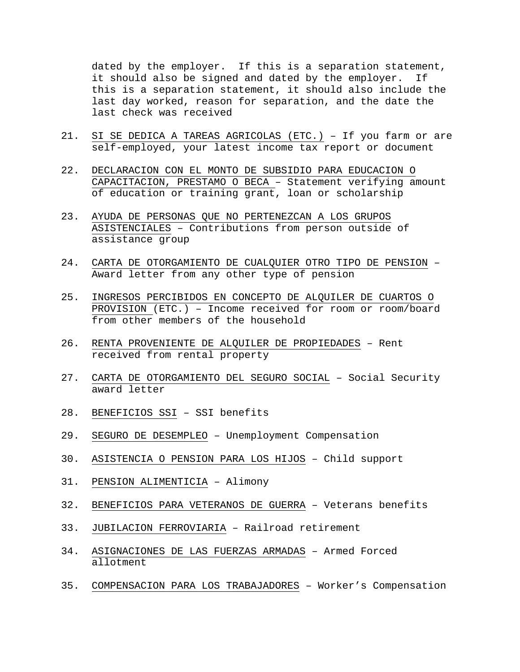dated by the employer. If this is a separation statement, it should also be signed and dated by the employer. If this is a separation statement, it should also include the last day worked, reason for separation, and the date the last check was received

- 21. SI SE DEDICA A TAREAS AGRICOLAS (ETC.) If you farm or are self-employed, your latest income tax report or document
- 22. DECLARACION CON EL MONTO DE SUBSIDIO PARA EDUCACION O CAPACITACION, PRESTAMO O BECA – Statement verifying amount of education or training grant, loan or scholarship
- 23. AYUDA DE PERSONAS QUE NO PERTENEZCAN A LOS GRUPOS ASISTENCIALES – Contributions from person outside of assistance group
- 24. CARTA DE OTORGAMIENTO DE CUALQUIER OTRO TIPO DE PENSION Award letter from any other type of pension
- 25. INGRESOS PERCIBIDOS EN CONCEPTO DE ALQUILER DE CUARTOS O PROVISION (ETC.) – Income received for room or room/board from other members of the household
- 26. RENTA PROVENIENTE DE ALQUILER DE PROPIEDADES Rent received from rental property
- 27. CARTA DE OTORGAMIENTO DEL SEGURO SOCIAL Social Security award letter
- 28. BENEFICIOS SSI SSI benefits
- 29. SEGURO DE DESEMPLEO Unemployment Compensation
- 30. ASISTENCIA O PENSION PARA LOS HIJOS Child support
- 31. PENSION ALIMENTICIA Alimony
- 32. BENEFICIOS PARA VETERANOS DE GUERRA Veterans benefits
- 33. JUBILACION FERROVIARIA Railroad retirement
- 34. ASIGNACIONES DE LAS FUERZAS ARMADAS Armed Forced allotment
- 35. COMPENSACION PARA LOS TRABAJADORES Worker's Compensation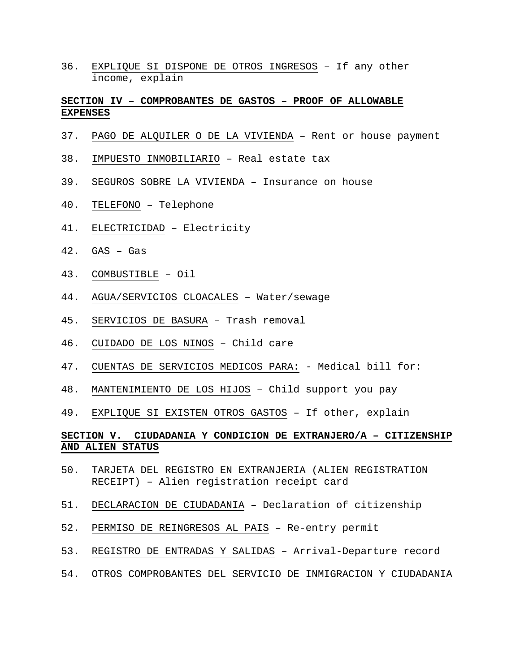36. EXPLIQUE SI DISPONE DE OTROS INGRESOS – If any other income, explain

## **SECTION IV – COMPROBANTES DE GASTOS – PROOF OF ALLOWABLE EXPENSES**

- 37. PAGO DE ALQUILER O DE LA VIVIENDA Rent or house payment
- 38. IMPUESTO INMOBILIARIO Real estate tax
- 39. SEGUROS SOBRE LA VIVIENDA Insurance on house
- 40. TELEFONO Telephone
- 41. ELECTRICIDAD Electricity
- 42. GAS Gas
- 43. COMBUSTIBLE Oil
- 44. AGUA/SERVICIOS CLOACALES Water/sewage
- 45. SERVICIOS DE BASURA Trash removal
- 46. CUIDADO DE LOS NINOS Child care
- 47. CUENTAS DE SERVICIOS MEDICOS PARA: Medical bill for:
- 48. MANTENIMIENTO DE LOS HIJOS Child support you pay
- 49. EXPLIQUE SI EXISTEN OTROS GASTOS If other, explain

# **SECTION V. CIUDADANIA Y CONDICION DE EXTRANJERO/A – CITIZENSHIP AND ALIEN STATUS**

- 50. TARJETA DEL REGISTRO EN EXTRANJERIA (ALIEN REGISTRATION RECEIPT) – Alien registration receipt card
- 51. DECLARACION DE CIUDADANIA Declaration of citizenship
- 52. PERMISO DE REINGRESOS AL PAIS Re-entry permit
- 53. REGISTRO DE ENTRADAS Y SALIDAS Arrival-Departure record
- 54. OTROS COMPROBANTES DEL SERVICIO DE INMIGRACION Y CIUDADANIA